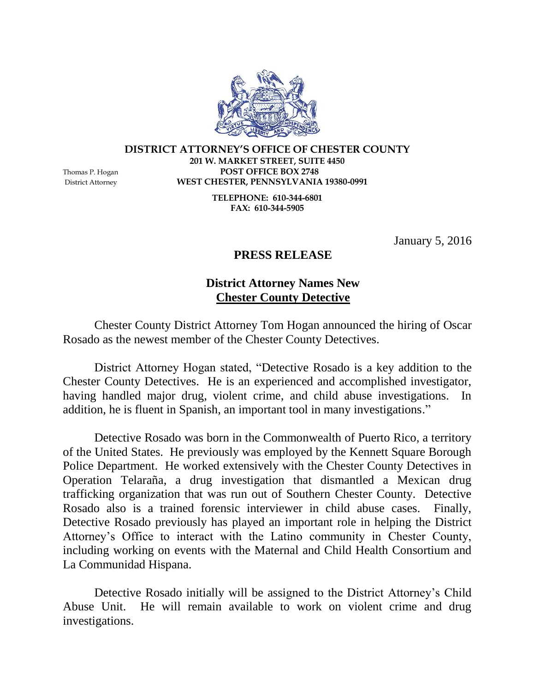**DISTRICT ATTORNEY'S OFFICE OF CHESTER COUNTY 201 W. MARKET STREET, SUITE 4450** Thomas P. Hogan **POST OFFICE BOX 2748** District Attorney **WEST CHESTER, PENNSYLVANIA 19380-0991**

> **TELEPHONE: 610-344-6801 FAX: 610-344-5905**

> > January 5, 2016

## **PRESS RELEASE**

## **District Attorney Names New Chester County Detective**

Chester County District Attorney Tom Hogan announced the hiring of Oscar Rosado as the newest member of the Chester County Detectives.

District Attorney Hogan stated, "Detective Rosado is a key addition to the Chester County Detectives. He is an experienced and accomplished investigator, having handled major drug, violent crime, and child abuse investigations. In addition, he is fluent in Spanish, an important tool in many investigations."

Detective Rosado was born in the Commonwealth of Puerto Rico, a territory of the United States. He previously was employed by the Kennett Square Borough Police Department. He worked extensively with the Chester County Detectives in Operation Telaraña, a drug investigation that dismantled a Mexican drug trafficking organization that was run out of Southern Chester County. Detective Rosado also is a trained forensic interviewer in child abuse cases. Finally, Detective Rosado previously has played an important role in helping the District Attorney's Office to interact with the Latino community in Chester County, including working on events with the Maternal and Child Health Consortium and La Communidad Hispana.

Detective Rosado initially will be assigned to the District Attorney's Child Abuse Unit. He will remain available to work on violent crime and drug investigations.